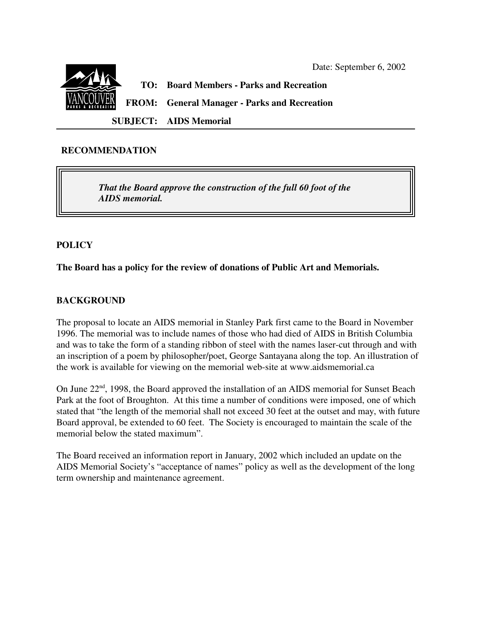

## **RECOMMENDATION**

*That the Board approve the construction of the full 60 foot of the AIDS memorial.*

## **POLICY**

**The Board has a policy for the review of donations of Public Art and Memorials.**

# **BACKGROUND**

The proposal to locate an AIDS memorial in Stanley Park first came to the Board in November 1996. The memorial was to include names of those who had died of AIDS in British Columbia and was to take the form of a standing ribbon of steel with the names laser-cut through and with an inscription of a poem by philosopher/poet, George Santayana along the top. An illustration of the work is available for viewing on the memorial web-site at www.aidsmemorial.ca

On June 22<sup>nd</sup>, 1998, the Board approved the installation of an AIDS memorial for Sunset Beach Park at the foot of Broughton. At this time a number of conditions were imposed, one of which stated that "the length of the memorial shall not exceed 30 feet at the outset and may, with future Board approval, be extended to 60 feet. The Society is encouraged to maintain the scale of the memorial below the stated maximum".

The Board received an information report in January, 2002 which included an update on the AIDS Memorial Society's "acceptance of names" policy as well as the development of the long term ownership and maintenance agreement.